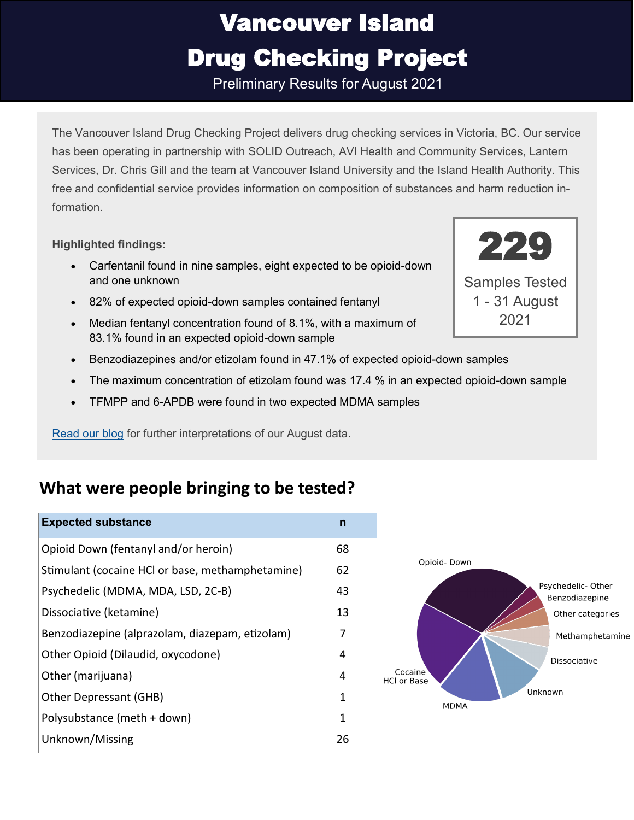Preliminary Results for August 2021

The Vancouver Island Drug Checking Project delivers drug checking services in Victoria, BC. Our service has been operating in partnership with SOLID Outreach, AVI Health and Community Services, Lantern Services, Dr. Chris Gill and the team at Vancouver Island University and the Island Health Authority. This free and confidential service provides information on composition of substances and harm reduction information.

#### **Highlighted findings:**

- Carfentanil found in nine samples, eight expected to be opioid-down and one unknown
- 82% of expected opioid-down samples contained fentanyl
- Median fentanyl concentration found of 8.1%, with a maximum of 83.1% found in an expected opioid-down sample
- Benzodiazepines and/or etizolam found in 47.1% of expected opioid-down samples
- The maximum concentration of etizolam found was 17.4 % in an expected opioid-down sample
- TFMPP and 6-APDB were found in two expected MDMA samples

[Read our blog](https://substance.uvic.ca/blog/august-2021-monthly-report/) for further interpretations of our August data.

#### **What were people bringing to be tested?**

#### **Expected substance n**

| Opioid Down (fentanyl and/or heroin)             | 68 |
|--------------------------------------------------|----|
| Stimulant (cocaine HCI or base, methamphetamine) | 62 |
| Psychedelic (MDMA, MDA, LSD, 2C-B)               | 43 |
| Dissociative (ketamine)                          | 13 |
| Benzodiazepine (alprazolam, diazepam, etizolam)  | 7  |
| Other Opioid (Dilaudid, oxycodone)               | 4  |
| Other (marijuana)                                | 4  |
| Other Depressant (GHB)                           | 1  |
| Polysubstance (meth + down)                      | 1  |
| Unknown/Missing                                  | 26 |
|                                                  |    |





1 - 31 August 2021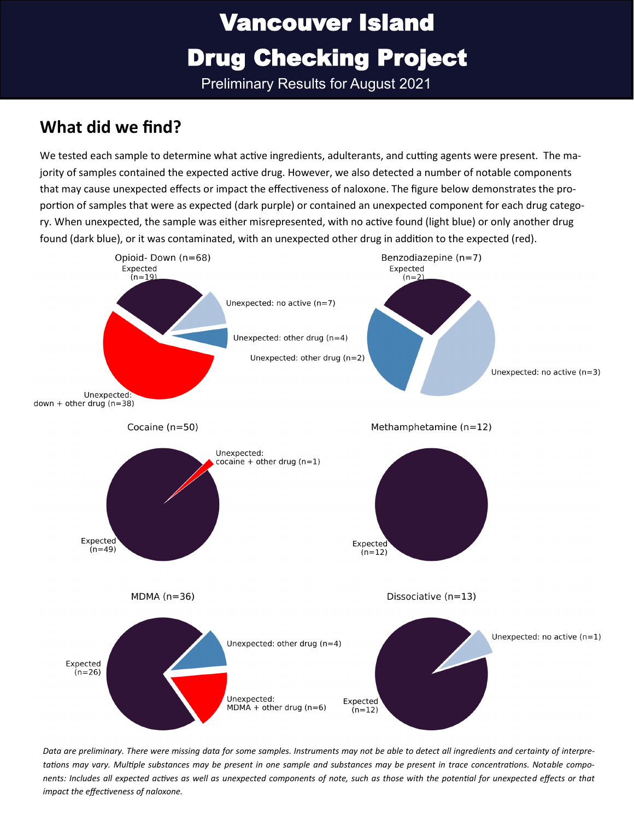Preliminary Results for August 2021

### **What did we find?**

We tested each sample to determine what active ingredients, adulterants, and cutting agents were present. The majority of samples contained the expected active drug. However, we also detected a number of notable components that may cause unexpected effects or impact the effectiveness of naloxone. The figure below demonstrates the proportion of samples that were as expected (dark purple) or contained an unexpected component for each drug category. When unexpected, the sample was either misrepresented, with no active found (light blue) or only another drug found (dark blue), or it was contaminated, with an unexpected other drug in addition to the expected (red).



*Data are preliminary. There were missing data for some samples. Instruments may not be able to detect all ingredients and certainty of interpretations may vary. Multiple substances may be present in one sample and substances may be present in trace concentrations. Notable components: Includes all expected actives as well as unexpected components of note, such as those with the potential for unexpected effects or that impact the effectiveness of naloxone.*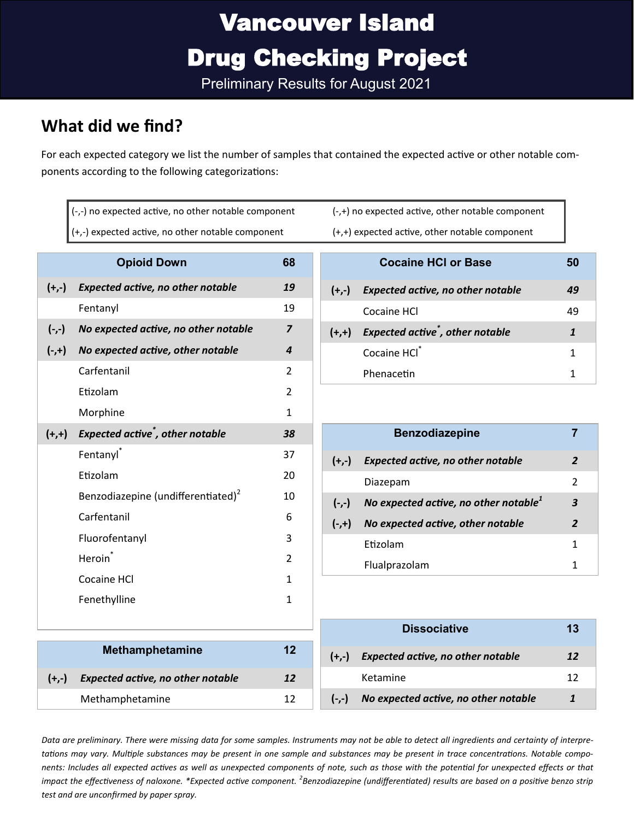Preliminary Results for August 2021

### **What did we find?**

For each expected category we list the number of samples that contained the expected active or other notable components according to the following categorizations:

| (-,-) no expected active, no other notable component |                                                |                |  |  |  |
|------------------------------------------------------|------------------------------------------------|----------------|--|--|--|
| (+,-) expected active, no other notable component    |                                                |                |  |  |  |
|                                                      | <b>Opioid Down</b><br>68                       |                |  |  |  |
| $(+,-)$                                              | <b>Expected active, no other notable</b>       | 19             |  |  |  |
|                                                      | Fentanyl                                       | 19             |  |  |  |
|                                                      | (-,-) No expected active, no other notable     | $\overline{z}$ |  |  |  |
| $(-,+)$                                              | No expected active, other notable              | 4              |  |  |  |
|                                                      | Carfentanil                                    | $\overline{2}$ |  |  |  |
|                                                      | Etizolam                                       | $\mathfrak{p}$ |  |  |  |
|                                                      | Morphine                                       | $\mathbf{1}$   |  |  |  |
| $(+,+)$                                              | Expected active <sup>*</sup> , other notable   | 38             |  |  |  |
|                                                      | Fentanyl <sup>*</sup>                          | 37             |  |  |  |
|                                                      | Etizolam                                       | 20             |  |  |  |
|                                                      | Benzodiazepine (undifferentiated) <sup>2</sup> | 10             |  |  |  |
|                                                      | Carfentanil                                    | 6              |  |  |  |
|                                                      | Fluorofentanyl                                 | 3              |  |  |  |
|                                                      | Heroin <sup>*</sup>                            | $\mathcal{P}$  |  |  |  |
|                                                      | Cocaine HCl                                    | $\mathbf{1}$   |  |  |  |
|                                                      | Fenethylline                                   | $\mathbf{1}$   |  |  |  |
|                                                      |                                                |                |  |  |  |
|                                                      | <b>Methamphetamine</b>                         | 12             |  |  |  |
|                                                      |                                                |                |  |  |  |
| $(+,-)$                                              | <b>Expected active, no other notable</b>       | 12             |  |  |  |

Methamphetamine 12

(-,+) no expected active, other notable component  $(+,+)$  expected active, other notable component

|         | <b>Cocaine HCI or Base</b>                   | 50 |
|---------|----------------------------------------------|----|
| $(+,-)$ | <b>Expected active, no other notable</b>     | 49 |
|         | Cocaine HCl                                  | 49 |
| $(+,+)$ | Expected active <sup>*</sup> , other notable | 1  |
|         | Cocaine HCI <sup>+</sup>                     | 1  |
|         | Phenacetin                                   |    |

| $(+,-)$  | <b>Expected active, no other notable</b>          | 2                |
|----------|---------------------------------------------------|------------------|
|          | Diazepam                                          | $\mathcal{P}$    |
| $(-,-)$  | No expected active, no other notable <sup>1</sup> | 3                |
| $(-, +)$ | No expected active, other notable                 | $\boldsymbol{z}$ |
|          | Etizolam                                          | 1                |
|          | Flualprazolam                                     | 1                |

|         | <b>Dissociative</b>                      | 13 |
|---------|------------------------------------------|----|
| $(+,-)$ | <b>Expected active, no other notable</b> | 12 |
|         | Ketamine                                 | 12 |
| $(-,-)$ | No expected active, no other notable     |    |

*Data are preliminary. There were missing data for some samples. Instruments may not be able to detect all ingredients and certainty of interpretations may vary. Multiple substances may be present in one sample and substances may be present in trace concentrations. Notable components: Includes all expected actives as well as unexpected components of note, such as those with the potential for unexpected effects or that*  impact the effectiveness of naloxone. \*Expected active component. <sup>2</sup>Benzodiazepine (undifferentiated) results are based on a positive benzo strip *test and are unconfirmed by paper spray.*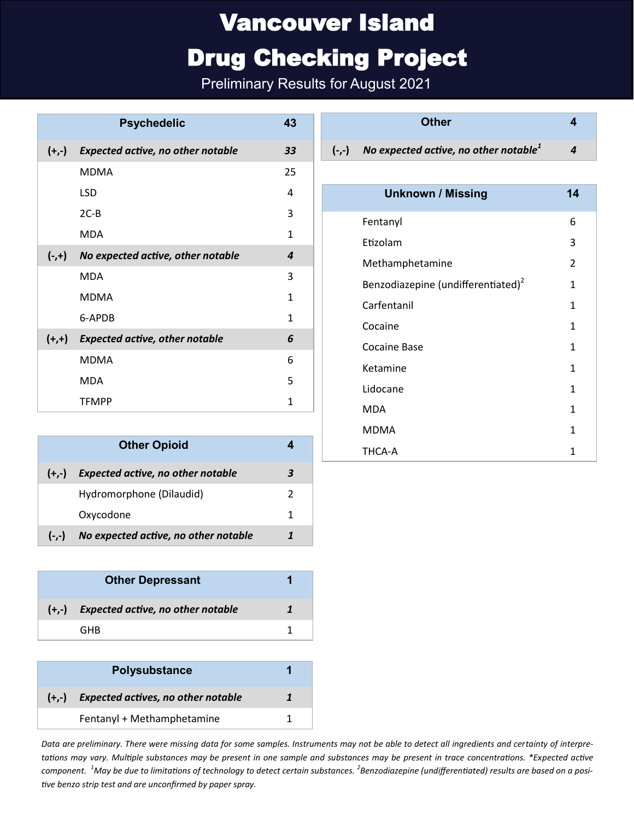## Vancouver Island

### Drug Checking Project

Preliminary Results for August 2021

| <b>Psychedelic</b> |                                          | 43           |
|--------------------|------------------------------------------|--------------|
| $(+,-)$            | <b>Expected active, no other notable</b> | 33           |
|                    | <b>MDMA</b>                              | 25           |
|                    | LSD.                                     | 4            |
|                    | $2C-B$                                   | 3            |
|                    | <b>MDA</b>                               | $\mathbf{1}$ |
| $(-,+)$            | No expected active, other notable        | 4            |
|                    | <b>MDA</b>                               | 3            |
|                    | <b>MDMA</b>                              | 1            |
|                    | 6-APDB                                   | 1            |
| $(+,+)$            | <b>Expected active, other notable</b>    | 6            |
|                    | <b>MDMA</b>                              | 6            |
|                    | <b>MDA</b>                               | 5            |
|                    | <b>TFMPP</b>                             | 1            |

| <b>Other Opioid</b> |                                          |  |
|---------------------|------------------------------------------|--|
| $(+,-)$             | <b>Expected active, no other notable</b> |  |
|                     | Hydromorphone (Dilaudid)                 |  |
|                     | Oxycodone                                |  |
| $(-,-)$             | No expected active, no other notable     |  |

| <b>Other Depressant</b> |                                           |  |
|-------------------------|-------------------------------------------|--|
|                         | $(+,-)$ Expected active, no other notable |  |
|                         | GHR                                       |  |

|         | <b>Polysubstance</b>                      |  |
|---------|-------------------------------------------|--|
| $(+,-)$ | <b>Expected actives, no other notable</b> |  |
|         | Fentanyl + Methamphetamine                |  |

**Other 4**

**(-,-)** *No expected active, no other notable<sup>1</sup> 4*

| <b>Unknown / Missing</b>                       | 14           |
|------------------------------------------------|--------------|
| Fentanyl                                       | 6            |
| Etizolam                                       | 3            |
| Methamphetamine                                | 2            |
| Benzodiazepine (undifferentiated) <sup>2</sup> | 1            |
| Carfentanil                                    | 1            |
| Cocaine                                        | 1            |
| Cocaine Base                                   | $\mathbf{1}$ |
| Ketamine                                       | 1            |
| Lidocane                                       | 1            |
| MDA                                            | 1            |
| <b>MDMA</b>                                    | 1            |
| THCA-A                                         | 1            |

*Data are preliminary. There were missing data for some samples. Instruments may not be able to detect all ingredients and certainty of interpretations may vary. Multiple substances may be present in one sample and substances may be present in trace concentrations. \*Expected active component. <sup>1</sup>May be due to limitations of technology to detect certain substances. <sup>2</sup> Benzodiazepine (undifferentiated) results are based on a positive benzo strip test and are unconfirmed by paper spray.*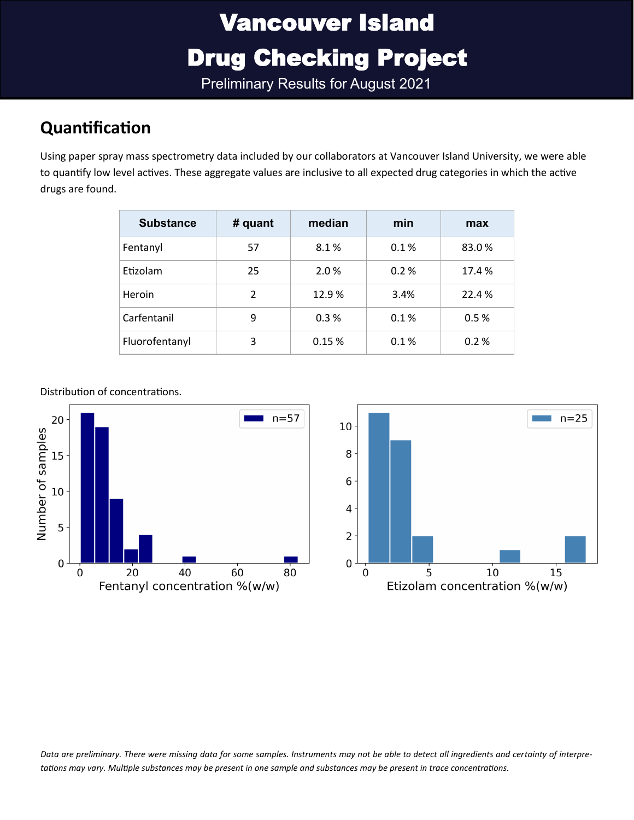Preliminary Results for August 2021

### **Quantification**

Using paper spray mass spectrometry data included by our collaborators at Vancouver Island University, we were able to quantify low level actives. These aggregate values are inclusive to all expected drug categories in which the active drugs are found.

| <b>Substance</b> | # quant        | median | min  | max   |
|------------------|----------------|--------|------|-------|
| Fentanyl         | 57             | 8.1%   | 0.1% | 83.0% |
| Etizolam         | 25             | 2.0%   | 0.2% | 17.4% |
| Heroin           | $\mathfrak{p}$ | 12.9%  | 3.4% | 22.4% |
| Carfentanil      | 9              | 0.3%   | 0.1% | 0.5%  |
| Fluorofentanyl   | 3              | 0.15%  | 0.1% | 0.2%  |



Distribution of concentrations.

*Data are preliminary. There were missing data for some samples. Instruments may not be able to detect all ingredients and certainty of interpretations may vary. Multiple substances may be present in one sample and substances may be present in trace concentrations.*